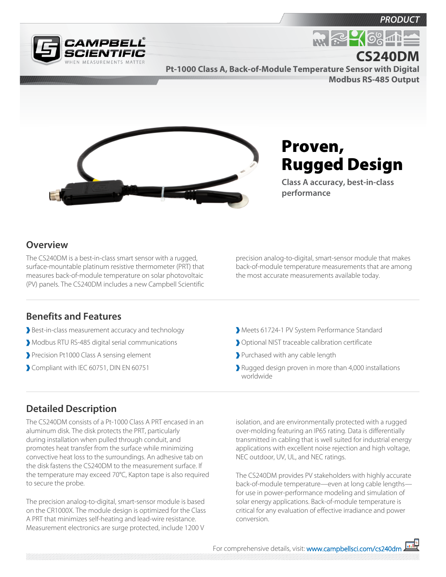*PRODUC* 



**Pt-1000 Class A, Back-of-Module Temperature Sensor with Digital Modbus RS-485 Output CS240DM**



## Proven, Rugged Design

**R. P. SOSIE** 

**Class A accuracy, best-in-class performance**

## **Overview**

The CS240DM is a best-in-class smart sensor with a rugged, surface-mountable platinum resistive thermometer (PRT) that measures back-of-module temperature on solar photovoltaic (PV) panels. The CS240DM includes a new Campbell Scientific

**Benefits and Features**

- Best-in-class measurement accuracy and technology
- Modbus RTU RS-485 digital serial communications
- Precision Pt1000 Class A sensing element
- Compliant with IEC 60751, DIN EN 60751

precision analog-to-digital, smart-sensor module that makes back-of-module temperature measurements that are among the most accurate measurements available today.

- Meets 61724-1 PV System Performance Standard
- Optional NIST traceable calibration certificate
- Purchased with any cable length
- Rugged design proven in more than 4,000 installations worldwide

## **Detailed Description**

The CS240DM consists of a Pt-1000 Class A PRT encased in an aluminum disk. The disk protects the PRT, particularly during installation when pulled through conduit, and promotes heat transfer from the surface while minimizing convective heat loss to the surroundings. An adhesive tab on the disk fastens the CS240DM to the measurement surface. If the temperature may exceed 70°C, Kapton tape is also required to secure the probe.

The precision analog-to-digital, smart-sensor module is based on the CR1000X. The module design is optimized for the Class A PRT that minimizes self-heating and lead-wire resistance. Measurement electronics are surge protected, include 1200 V

isolation, and are environmentally protected with a rugged over-molding featuring an IP65 rating. Data is differentially transmitted in cabling that is well suited for industrial energy applications with excellent noise rejection and high voltage, NEC outdoor, UV, UL, and NEC ratings.

The CS240DM provides PV stakeholders with highly accurate back-of-module temperature—even at long cable lengths for use in power-performance modeling and simulation of solar energy applications. Back-of-module temperature is critical for any evaluation of effective irradiance and power conversion.

For comprehensive details, visit: [www.campbellsci.com/cs240dm](https://www.campbellsci.com/cs240dm)